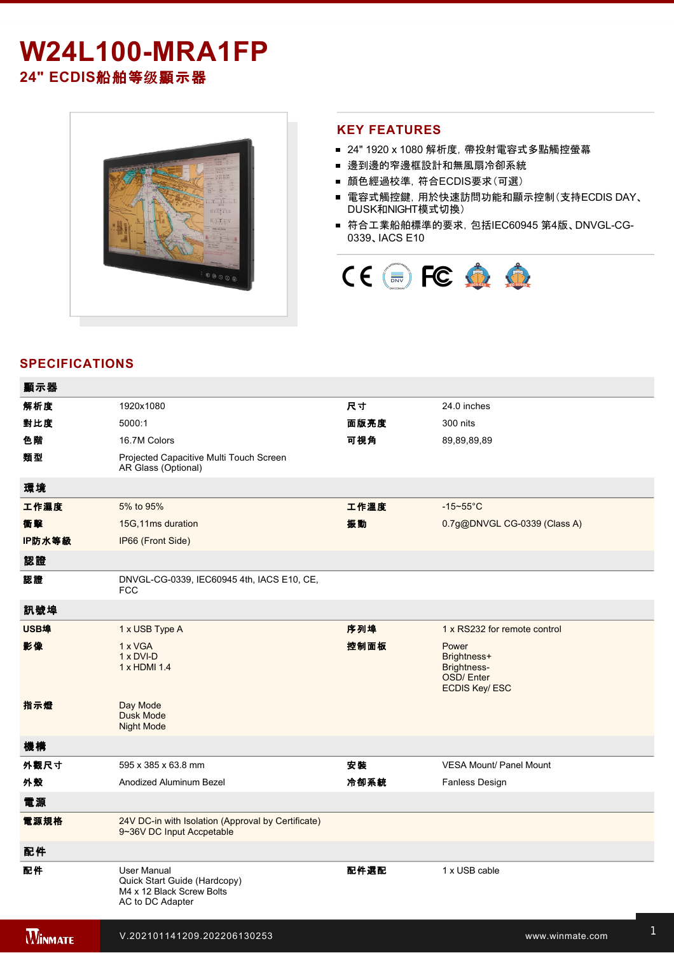# **W24L100-MRA1FP**

**24" ECDIS**船舶等级顯示器



1 x HDMI cable to the control of the control of the control of the control of the control of

### **KEY FEATURES**

- 24" 1920 x 1080 解析度, 帶投射電容式多點觸控螢幕
- 邊到邊的窄邊框設計和無風扇冷卻系統
- 顏色經過校準,符合ECDIS要求(可選)
- 電容式觸控鍵, 用於快速訪問功能和顯示控制(支持ECDIS DAY、 DUSK和NIGHT模式切換)
- 符合工業船舶標準的要求, 包括IEC60945 第4版、DNVGL-CG-0339、IACS E10



# **SPECIFICATIONS**

| 顯示器            |                                                                                                     |      |                                                                          |
|----------------|-----------------------------------------------------------------------------------------------------|------|--------------------------------------------------------------------------|
| 解析度            | 1920x1080                                                                                           | 尺寸   | 24.0 inches                                                              |
| 對比度            | 5000:1                                                                                              | 面版亮度 | 300 nits                                                                 |
| 色階             | 16.7M Colors                                                                                        | 可視角  | 89,89,89,89                                                              |
| 類型             | Projected Capacitive Multi Touch Screen<br>AR Glass (Optional)                                      |      |                                                                          |
| 環境             |                                                                                                     |      |                                                                          |
| 工作濕度           | 5% to 95%                                                                                           | 工作溫度 | $-15-55$ °C                                                              |
| 衝擊             | 15G, 11ms duration                                                                                  | 振動   | 0.7g@DNVGL CG-0339 (Class A)                                             |
| IP防水等級         | IP66 (Front Side)                                                                                   |      |                                                                          |
| 認證             |                                                                                                     |      |                                                                          |
| 認證             | DNVGL-CG-0339, IEC60945 4th, IACS E10, CE,<br><b>FCC</b>                                            |      |                                                                          |
| 訊號埠            |                                                                                                     |      |                                                                          |
| <b>USB埠</b>    | 1 x USB Type A                                                                                      | 序列埠  | 1 x RS232 for remote control                                             |
| 影像             | 1 x VGA<br>$1 \times DVI-D$<br>1 x HDMI 1.4                                                         | 控制面板 | Power<br>Brightness+<br>Brightness-<br>OSD/Enter<br><b>ECDIS Key/ESC</b> |
| 指示燈            | Day Mode<br>Dusk Mode<br><b>Night Mode</b>                                                          |      |                                                                          |
| 機構             |                                                                                                     |      |                                                                          |
| 外觀尺寸           | 595 x 385 x 63.8 mm                                                                                 | 安装   | VESA Mount/ Panel Mount                                                  |
| 外殼             | Anodized Aluminum Bezel                                                                             | 冷卻系統 | <b>Fanless Design</b>                                                    |
| 電源             |                                                                                                     |      |                                                                          |
| 電源規格           | 24V DC-in with Isolation (Approval by Certificate)<br>9~36V DC Input Accpetable                     |      |                                                                          |
| 配件             |                                                                                                     |      |                                                                          |
| 配件             | <b>User Manual</b><br>Quick Start Guide (Hardcopy)<br>M4 x 12 Black Screw Bolts<br>AC to DC Adapter | 配件選配 | 1 x USB cable                                                            |
| <b>WINMATE</b> | V.202101141209.202206130253                                                                         |      | www.winmate.com                                                          |